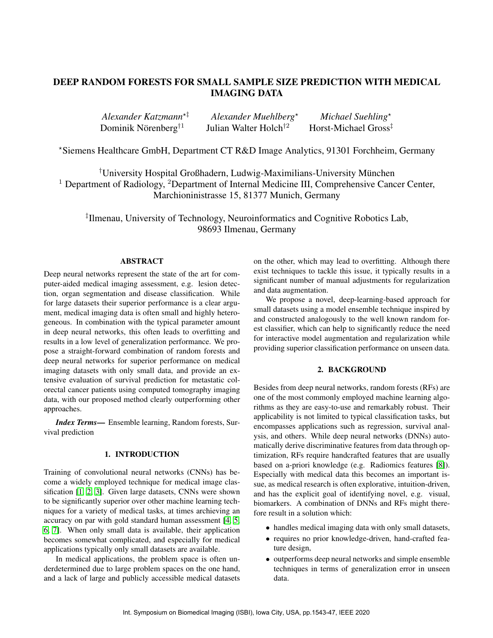# DEEP RANDOM FORESTS FOR SMALL SAMPLE SIZE PREDICTION WITH MEDICAL IMAGING DATA

| Alexander Katzmann <sup>*1</sup> | Alexander Muehlberg <sup>*</sup>  | Michael Suehling <sup>*</sup>    |
|----------------------------------|-----------------------------------|----------------------------------|
| Dominik Nörenberg <sup>†1</sup>  | Julian Walter Holch <sup>†2</sup> | Horst-Michael Gross <sup>‡</sup> |

?Siemens Healthcare GmbH, Department CT R&D Image Analytics, 91301 Forchheim, Germany

†University Hospital Großhadern, Ludwig-Maximilians-University Munchen ¨ <sup>1</sup> Department of Radiology, <sup>2</sup>Department of Internal Medicine III, Comprehensive Cancer Center, Marchioninistrasse 15, 81377 Munich, Germany

‡ Ilmenau, University of Technology, Neuroinformatics and Cognitive Robotics Lab, 98693 Ilmenau, Germany

## ABSTRACT

Deep neural networks represent the state of the art for computer-aided medical imaging assessment, e.g. lesion detection, organ segmentation and disease classification. While for large datasets their superior performance is a clear argument, medical imaging data is often small and highly heterogeneous. In combination with the typical parameter amount in deep neural networks, this often leads to overfitting and results in a low level of generalization performance. We propose a straight-forward combination of random forests and deep neural networks for superior performance on medical imaging datasets with only small data, and provide an extensive evaluation of survival prediction for metastatic colorectal cancer patients using computed tomography imaging data, with our proposed method clearly outperforming other approaches.

*Index Terms*— Ensemble learning, Random forests, Survival prediction

## 1. INTRODUCTION

Training of convolutional neural networks (CNNs) has become a widely employed technique for medical image classification [\[1,](#page-3-0) [2,](#page-3-1) [3\]](#page-3-2). Given large datasets, CNNs were shown to be significantly superior over other machine learning techniques for a variety of medical tasks, at times archieving an accuracy on par with gold standard human assessment [\[4,](#page-3-3) [5,](#page-3-4) [6,](#page-4-0) [7\]](#page-4-1). When only small data is available, their application becomes somewhat complicated, and especially for medical applications typically only small datasets are available.

In medical applications, the problem space is often underdetermined due to large problem spaces on the one hand, and a lack of large and publicly accessible medical datasets on the other, which may lead to overfitting. Although there exist techniques to tackle this issue, it typically results in a significant number of manual adjustments for regularization and data augmentation.

We propose a novel, deep-learning-based approach for small datasets using a model ensemble technique inspired by and constructed analogously to the well known random forest classifier, which can help to significantly reduce the need for interactive model augmentation and regularization while providing superior classification performance on unseen data.

## 2. BACKGROUND

Besides from deep neural networks, random forests (RFs) are one of the most commonly employed machine learning algorithms as they are easy-to-use and remarkably robust. Their applicability is not limited to typical classification tasks, but encompasses applications such as regression, survival analysis, and others. While deep neural networks (DNNs) automatically derive discriminative features from data through optimization, RFs require handcrafted features that are usually based on a-priori knowledge (e.g. Radiomics features [\[8\]](#page-4-2)). Especially with medical data this becomes an important issue, as medical research is often explorative, intuition-driven, and has the explicit goal of identifying novel, e.g. visual, biomarkers. A combination of DNNs and RFs might therefore result in a solution which:

- handles medical imaging data with only small datasets,
- requires no prior knowledge-driven, hand-crafted feature design,
- outperforms deep neural networks and simple ensemble techniques in terms of generalization error in unseen data.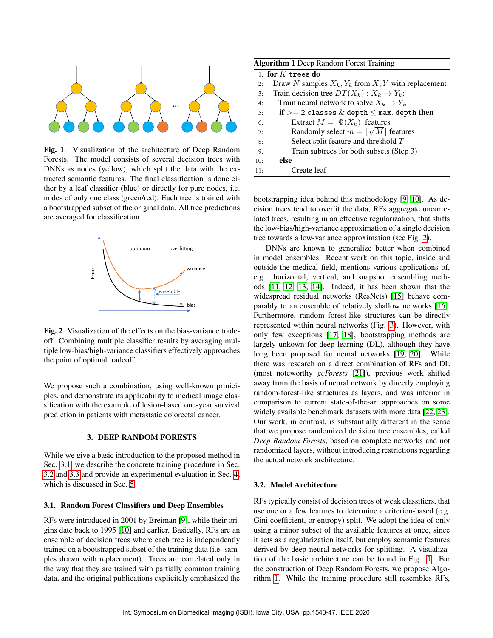

<span id="page-1-3"></span>Fig. 1. Visualization of the architecture of Deep Random Forests. The model consists of several decision trees with DNNs as nodes (yellow), which split the data with the extracted semantic features. The final classification is done either by a leaf classifier (blue) or directly for pure nodes, i.e. nodes of only one class (green/red). Each tree is trained with a bootstrapped subset of the original data. All tree predictions are averaged for classification



<span id="page-1-2"></span>Fig. 2. Visualization of the effects on the bias-variance tradeoff. Combining multiple classifier results by averaging multiple low-bias/high-variance classifiers effectively approaches the point of optimal tradeoff.

We propose such a combination, using well-known priniciples, and demonstrate its applicability to medical image classification with the example of lesion-based one-year survival prediction in patients with metastatic colorectal cancer.

## 3. DEEP RANDOM FORESTS

While we give a basic introduction to the proposed method in Sec. [3.1,](#page-1-0) we describe the concrete training procedure in Sec. [3.2](#page-1-1) and [3.3](#page-2-0) and provide an experimental evaluation in Sec. [4,](#page-2-1) which is discussed in Sec. [5.](#page-3-5)

#### <span id="page-1-0"></span>3.1. Random Forest Classifiers and Deep Ensembles

RFs were introduced in 2001 by Breiman [\[9\]](#page-4-3), while their origins date back to 1995 [\[10\]](#page-4-4) and earlier. Basically, RFs are an ensemble of decision trees where each tree is independently trained on a bootstrapped subset of the training data (i.e. samples drawn with replacement). Trees are correlated only in the way that they are trained with partially common training data, and the original publications explicitely emphasized the

<span id="page-1-4"></span>

|                     | <b>Algorithm 1</b> Deep Random Forest Training       |  |  |  |
|---------------------|------------------------------------------------------|--|--|--|
| 1: for $K$ trees do |                                                      |  |  |  |
| 2:                  | Draw N samples $X_k, Y_k$ from X, Y with replacement |  |  |  |
| 3:                  | Train decision tree $DT(X_k): X_k \to Y_k$ :         |  |  |  |
| 4:                  | Train neural network to solve $X_k \to Y_k$          |  |  |  |
| 5:                  | if $>= 2$ classes $\&$ depth $\leq$ max. depth then  |  |  |  |
| 6:                  | Extract $M =  \Phi(X_k) $ features                   |  |  |  |
| 7:                  | Randomly select $m =  \sqrt{M} $ features            |  |  |  |
| 8:                  | Select split feature and threshold T                 |  |  |  |
| 9:                  | Train subtrees for both subsets (Step 3)             |  |  |  |
| 10:                 | else                                                 |  |  |  |
| 11:                 | Create leaf                                          |  |  |  |

bootstrapping idea behind this methodology [\[9,](#page-4-3) [10\]](#page-4-4). As decision trees tend to overfit the data, RFs aggregate uncorrelated trees, resulting in an effective regularization, that shifts the low-bias/high-variance approximation of a single decision tree towards a low-variance approximation (see Fig. [2\)](#page-1-2).

DNNs are known to generalize better when combined in model ensembles. Recent work on this topic, inside and outside the medical field, mentions various applications of, e.g. horizontal, vertical, and snapshot ensembling methods [\[11,](#page-4-5) [12,](#page-4-6) [13,](#page-4-7) [14\]](#page-4-8). Indeed, it has been shown that the widespread residual networks (ResNets) [\[15\]](#page-4-9) behave comparably to an ensemble of relatively shallow networks [\[16\]](#page-4-10). Furthermore, random forest-like structures can be directly represented within neural networks (Fig. [3\)](#page-2-2). However, with only few exceptions [\[17,](#page-4-11) [18\]](#page-4-12), bootstrapping methods are largely unkown for deep learning (DL), although they have long been proposed for neural networks [\[19,](#page-4-13) [20\]](#page-4-14). While there was research on a direct combination of RFs and DL (most noteworthy *gcForests* [\[21\]](#page-4-15)), previous work shifted away from the basis of neural network by directly employing random-forest-like structures as layers, and was inferior in comparison to current state-of-the-art approaches on some widely available benchmark datasets with more data [\[22,](#page-4-16) [23\]](#page-4-17). Our work, in contrast, is substantially different in the sense that we propose randomized decision tree ensembles, called *Deep Random Forests*, based on complete networks and not randomized layers, without introducing restrictions regarding the actual network architecture.

#### <span id="page-1-1"></span>3.2. Model Architecture

RFs typically consist of decision trees of weak classifiers, that use one or a few features to determine a criterion-based (e.g. Gini coefficient, or entropy) split. We adopt the idea of only using a minor subset of the available features at once, since it acts as a regularization itself, but employ semantic features derived by deep neural networks for splitting. A visualization of the basic architecture can be found in Fig. [1.](#page-1-3) For the construction of Deep Random Forests, we propose Algorithm [1.](#page-1-4) While the training procedure still resembles RFs,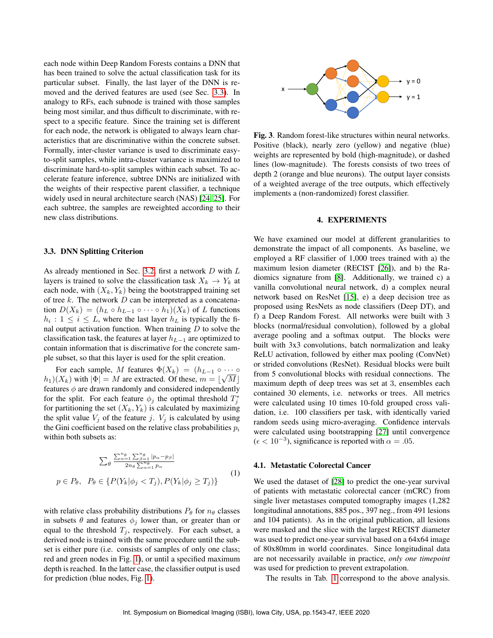each node within Deep Random Forests contains a DNN that has been trained to solve the actual classification task for its particular subset. Finally, the last layer of the DNN is removed and the derived features are used (see Sec. [3.3\)](#page-2-0). In analogy to RFs, each subnode is trained with those samples being most similar, and thus difficult to discriminate, with respect to a specific feature. Since the training set is different for each node, the network is obligated to always learn characteristics that are discriminative within the concrete subset. Formally, inter-cluster variance is used to discriminate easyto-split samples, while intra-cluster variance is maximized to discriminate hard-to-split samples within each subset. To accelerate feature inference, subtree DNNs are initialized with the weights of their respective parent classifier, a technique widely used in neural architecture search (NAS) [\[24,](#page-4-18) [25\]](#page-4-19). For each subtree, the samples are reweighted according to their new class distributions.

## <span id="page-2-0"></span>3.3. DNN Splitting Criterion

As already mentioned in Sec. [3.2,](#page-1-1) first a network D with L layers is trained to solve the classification task  $X_k \to Y_k$  at each node, with  $(X_k, Y_k)$  being the bootstrapped training set of tree  $k$ . The network  $D$  can be interpreted as a concatenation  $D(X_k) = (h_L \circ h_{L-1} \circ \cdots \circ h_1)(X_k)$  of L functions  $h_i: 1 \leq i \leq L$ , where the last layer  $h_L$  is typically the final output activation function. When training  $D$  to solve the classification task, the features at layer  $h_{L-1}$  are optimized to contain information that is discrimative for the concrete sample subset, so that this layer is used for the split creation.

For each sample, M features  $\Phi(X_k) = (h_{L-1} \circ \cdots \circ h_{L-1})$  $(h_1)(X_k)$  with  $|\Phi| = M$  are extracted. Of these,  $m = \lfloor \sqrt{M} \rfloor$ features  $\phi$  are drawn randomly and considered independently for the split. For each feature  $\phi_j$  the optimal threshold  $T_j^*$ for partitioning the set  $(X_k, Y_k)$  is calculated by maximizing the split value  $V_i$  of the feature j.  $V_i$  is calculated by using the Gini coefficient based on the relative class probabilities  $p_i$ within both subsets as:

$$
\sum_{\theta} \frac{\sum_{\alpha=1}^{n_{\theta}} \sum_{\beta=1}^{n_{\theta}} |p_{\alpha}-p_{\beta}|}{2n_{\theta} \sum_{\alpha=1}^{n_{\theta}} p_{\alpha}}
$$
\n
$$
p \in P_{\theta}, \quad P_{\theta} \in \{P(Y_k | \phi_j < T_j), P(Y_k | \phi_j \ge T_j)\}\tag{1}
$$

with relative class probability distributions  $P_{\theta}$  for  $n_{\theta}$  classes in subsets  $\theta$  and features  $\phi_j$  lower than, or greater than or equal to the threshold  $T_j$ , respectively. For each subset, a derived node is trained with the same procedure until the subset is either pure (i.e. consists of samples of only one class; red and green nodes in Fig. [1\)](#page-1-3), or until a specified maximum depth is reached. In the latter case, the classifier output is used for prediction (blue nodes, Fig. [1\)](#page-1-3).



<span id="page-2-2"></span>Fig. 3. Random forest-like structures within neural networks. Positive (black), nearly zero (yellow) and negative (blue) weights are represented by bold (high-magnitude), or dashed lines (low-magnitude). The forests consists of two trees of depth 2 (orange and blue neurons). The output layer consists of a weighted average of the tree outputs, which effectively implements a (non-randomized) forest classifier.

#### 4. EXPERIMENTS

<span id="page-2-1"></span>We have examined our model at different granularities to demonstrate the impact of all components. As baseline, we employed a RF classifier of 1,000 trees trained with a) the maximum lesion diameter (RECIST [\[26\]](#page-4-20)), and b) the Radiomics signature from [\[8\]](#page-4-2). Additionally, we trained c) a vanilla convolutional neural network, d) a complex neural network based on ResNet [\[15\]](#page-4-9), e) a deep decision tree as proposed using ResNets as node classifiers (Deep DT), and f) a Deep Random Forest. All networks were built with 3 blocks (normal/residual convolution), followed by a global average pooling and a softmax output. The blocks were built with 3x3 convolutions, batch normalization and leaky ReLU activation, followed by either max pooling (ConvNet) or strided convolutions (ResNet). Residual blocks were built from 5 convolutional blocks with residual connections. The maximum depth of deep trees was set at 3, ensembles each contained 30 elements, i.e. networks or trees. All metrics were calculated using 10 times 10-fold grouped cross validation, i.e. 100 classifiers per task, with identically varied random seeds using micro-averaging. Confidence intervals were calculated using bootstrapping [\[27\]](#page-4-21) until convergence  $(\epsilon < 10^{-3})$ , significance is reported with  $\alpha = .05$ .

#### 4.1. Metastatic Colorectal Cancer

We used the dataset of [\[28\]](#page-5-0) to predict the one-year survival of patients with metastatic colorectal cancer (mCRC) from single liver metastases computed tomography images (1,282 longitudinal annotations, 885 pos., 397 neg., from 491 lesions and 104 patients). As in the original publication, all lesions were masked and the slice with the largest RECIST diameter was used to predict one-year survival based on a 64x64 image of 80x80mm in world coordinates. Since longitudinal data are not necessarily available in practice, *only one timepoint* was used for prediction to prevent extrapolation.

The results in Tab. [1](#page-3-6) correspond to the above analysis.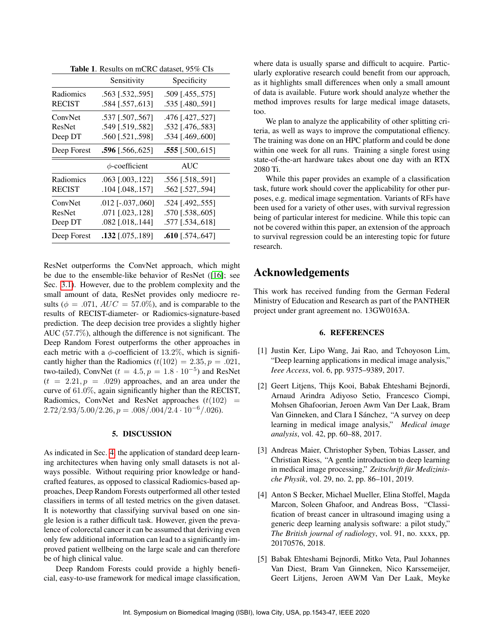|             | Sensitivity              | Specificity             |
|-------------|--------------------------|-------------------------|
| Radiomics   | .563 [.532,.595]         | .509 [.455,.575]        |
| RECIST      | .584 [.557,.613]         | .535 [.480,.591]        |
| ConvNet     | .537 [.507,.567]         | .476 [.427,.527]        |
| ResNet      | .549 [.519,.582]         | .532 [.476,.583]        |
| Deep DT     | .560 [.521,.598]         | .534 [.469,.600]        |
| Deep Forest | <b>.596</b> [.566, .625] | $.555$ [.500,.615]      |
|             | $\phi$ -coefficient      | <b>AUC</b>              |
| Radiomics   | $.063$ $[.003, .122]$    | .556 [.518,.591]        |
| RECIST      | .104 [.048157]           | .562 [.527594]          |
| ConvNet     | $.012$ [ $-.037, .060$ ] | .524 [.492,.555]        |
| ResNet      | .071 [.023,.128]         | .570 [.538,.605]        |
| Deep DT     | .082 [.018,.144]         | .577 [.534,.618]        |
| Deep Forest | $.132$ [.075,.189]       | <b>.610</b> [.574,.647] |
|             |                          |                         |

<span id="page-3-6"></span>Table 1. Results on mCRC dataset, 95% CIs

ResNet outperforms the ConvNet approach, which might be due to the ensemble-like behavior of ResNet ([\[16\]](#page-4-10); see Sec. [3.1\)](#page-1-0). However, due to the problem complexity and the small amount of data, ResNet provides only mediocre results ( $\phi = .071$ ,  $AUC = 57.0\%$ ), and is comparable to the results of RECIST-diameter- or Radiomics-signature-based prediction. The deep decision tree provides a slightly higher AUC (57.7%), although the difference is not significant. The Deep Random Forest outperforms the other approaches in each metric with a  $\phi$ -coefficient of 13.2%, which is significantly higher than the Radiomics  $(t(102) = 2.35, p = .021,$ two-tailed), ConvNet ( $t = 4.5, p = 1.8 \cdot 10^{-5}$ ) and ResNet  $(t = 2.21, p = .029)$  approaches, and an area under the curve of 61.0%, again significantly higher than the RECIST, Radiomics, ConvNet and ResNet approaches  $(t(102)$  =  $2.72/2.93/5.00/2.26, p = .008/.004/2.4 \cdot 10^{-6}/.026).$ 

## 5. DISCUSSION

<span id="page-3-5"></span>As indicated in Sec. [4,](#page-2-1) the application of standard deep learning architectures when having only small datasets is not always possible. Without requiring prior knowledge or handcrafted features, as opposed to classical Radiomics-based approaches, Deep Random Forests outperformed all other tested classifiers in terms of all tested metrics on the given dataset. It is noteworthy that classifying survival based on one single lesion is a rather difficult task. However, given the prevalence of colorectal cancer it can be assumed that deriving even only few additional information can lead to a significantly improved patient wellbeing on the large scale and can therefore be of high clinical value.

Deep Random Forests could provide a highly beneficial, easy-to-use framework for medical image classification, where data is usually sparse and difficult to acquire. Particularly explorative research could benefit from our approach, as it highlights small differences when only a small amount of data is available. Future work should analyze whether the method improves results for large medical image datasets, too.

We plan to analyze the applicability of other splitting criteria, as well as ways to improve the computational effiency. The training was done on an HPC platform and could be done within one week for all runs. Training a single forest using state-of-the-art hardware takes about one day with an RTX 2080 Ti.

While this paper provides an example of a classification task, future work should cover the applicability for other purposes, e.g. medical image segmentation. Variants of RFs have been used for a variety of other uses, with survival regression being of particular interest for medicine. While this topic can not be covered within this paper, an extension of the approach to survival regression could be an interesting topic for future research.

# Acknowledgements

This work has received funding from the German Federal Ministry of Education and Research as part of the PANTHER project under grant agreement no. 13GW0163A.

## 6. REFERENCES

- <span id="page-3-0"></span>[1] Justin Ker, Lipo Wang, Jai Rao, and Tchoyoson Lim, "Deep learning applications in medical image analysis," *Ieee Access*, vol. 6, pp. 9375–9389, 2017.
- <span id="page-3-1"></span>[2] Geert Litjens, Thijs Kooi, Babak Ehteshami Bejnordi, Arnaud Arindra Adiyoso Setio, Francesco Ciompi, Mohsen Ghafoorian, Jeroen Awm Van Der Laak, Bram Van Ginneken, and Clara I Sánchez, "A survey on deep learning in medical image analysis," *Medical image analysis*, vol. 42, pp. 60–88, 2017.
- <span id="page-3-2"></span>[3] Andreas Maier, Christopher Syben, Tobias Lasser, and Christian Riess, "A gentle introduction to deep learning in medical image processing," *Zeitschrift fur Medizinis- ¨ che Physik*, vol. 29, no. 2, pp. 86–101, 2019.
- <span id="page-3-3"></span>[4] Anton S Becker, Michael Mueller, Elina Stoffel, Magda Marcon, Soleen Ghafoor, and Andreas Boss, "Classification of breast cancer in ultrasound imaging using a generic deep learning analysis software: a pilot study," *The British journal of radiology*, vol. 91, no. xxxx, pp. 20170576, 2018.
- <span id="page-3-4"></span>[5] Babak Ehteshami Bejnordi, Mitko Veta, Paul Johannes Van Diest, Bram Van Ginneken, Nico Karssemeijer, Geert Litjens, Jeroen AWM Van Der Laak, Meyke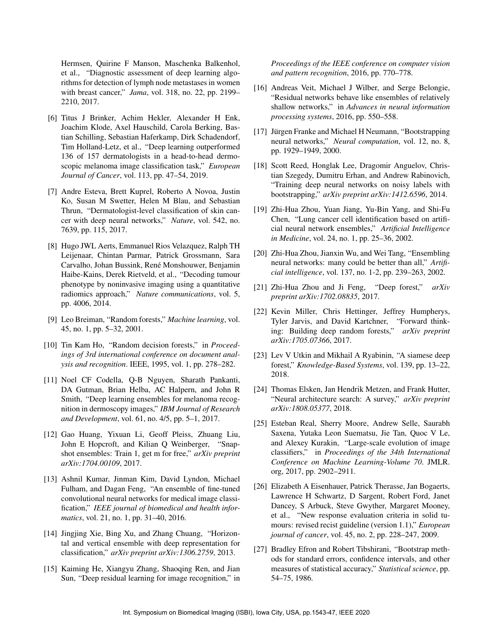Hermsen, Quirine F Manson, Maschenka Balkenhol, et al., "Diagnostic assessment of deep learning algorithms for detection of lymph node metastases in women with breast cancer," *Jama*, vol. 318, no. 22, pp. 2199– 2210, 2017.

- <span id="page-4-0"></span>[6] Titus J Brinker, Achim Hekler, Alexander H Enk, Joachim Klode, Axel Hauschild, Carola Berking, Bastian Schilling, Sebastian Haferkamp, Dirk Schadendorf, Tim Holland-Letz, et al., "Deep learning outperformed 136 of 157 dermatologists in a head-to-head dermoscopic melanoma image classification task," *European Journal of Cancer*, vol. 113, pp. 47–54, 2019.
- <span id="page-4-1"></span>[7] Andre Esteva, Brett Kuprel, Roberto A Novoa, Justin Ko, Susan M Swetter, Helen M Blau, and Sebastian Thrun, "Dermatologist-level classification of skin cancer with deep neural networks," *Nature*, vol. 542, no. 7639, pp. 115, 2017.
- <span id="page-4-2"></span>[8] Hugo JWL Aerts, Emmanuel Rios Velazquez, Ralph TH Leijenaar, Chintan Parmar, Patrick Grossmann, Sara Carvalho, Johan Bussink, René Monshouwer, Benjamin Haibe-Kains, Derek Rietveld, et al., "Decoding tumour phenotype by noninvasive imaging using a quantitative radiomics approach," *Nature communications*, vol. 5, pp. 4006, 2014.
- <span id="page-4-3"></span>[9] Leo Breiman, "Random forests," *Machine learning*, vol. 45, no. 1, pp. 5–32, 2001.
- <span id="page-4-4"></span>[10] Tin Kam Ho, "Random decision forests," in *Proceedings of 3rd international conference on document analysis and recognition*. IEEE, 1995, vol. 1, pp. 278–282.
- <span id="page-4-5"></span>[11] Noel CF Codella, Q-B Nguyen, Sharath Pankanti, DA Gutman, Brian Helba, AC Halpern, and John R Smith, "Deep learning ensembles for melanoma recognition in dermoscopy images," *IBM Journal of Research and Development*, vol. 61, no. 4/5, pp. 5–1, 2017.
- <span id="page-4-6"></span>[12] Gao Huang, Yixuan Li, Geoff Pleiss, Zhuang Liu, John E Hopcroft, and Kilian Q Weinberger, "Snapshot ensembles: Train 1, get m for free," *arXiv preprint arXiv:1704.00109*, 2017.
- <span id="page-4-7"></span>[13] Ashnil Kumar, Jinman Kim, David Lyndon, Michael Fulham, and Dagan Feng, "An ensemble of fine-tuned convolutional neural networks for medical image classification," *IEEE journal of biomedical and health informatics*, vol. 21, no. 1, pp. 31–40, 2016.
- <span id="page-4-8"></span>[14] Jingjing Xie, Bing Xu, and Zhang Chuang, "Horizontal and vertical ensemble with deep representation for classification," *arXiv preprint arXiv:1306.2759*, 2013.
- <span id="page-4-9"></span>[15] Kaiming He, Xiangyu Zhang, Shaoqing Ren, and Jian Sun, "Deep residual learning for image recognition," in

*Proceedings of the IEEE conference on computer vision and pattern recognition*, 2016, pp. 770–778.

- <span id="page-4-10"></span>[16] Andreas Veit, Michael J Wilber, and Serge Belongie, "Residual networks behave like ensembles of relatively shallow networks," in *Advances in neural information processing systems*, 2016, pp. 550–558.
- <span id="page-4-11"></span>[17] Jürgen Franke and Michael H Neumann, "Bootstrapping neural networks," *Neural computation*, vol. 12, no. 8, pp. 1929–1949, 2000.
- <span id="page-4-12"></span>[18] Scott Reed, Honglak Lee, Dragomir Anguelov, Christian Szegedy, Dumitru Erhan, and Andrew Rabinovich, "Training deep neural networks on noisy labels with bootstrapping," *arXiv preprint arXiv:1412.6596*, 2014.
- <span id="page-4-13"></span>[19] Zhi-Hua Zhou, Yuan Jiang, Yu-Bin Yang, and Shi-Fu Chen, "Lung cancer cell identification based on artificial neural network ensembles," *Artificial Intelligence in Medicine*, vol. 24, no. 1, pp. 25–36, 2002.
- <span id="page-4-14"></span>[20] Zhi-Hua Zhou, Jianxin Wu, and Wei Tang, "Ensembling neural networks: many could be better than all," *Artificial intelligence*, vol. 137, no. 1-2, pp. 239–263, 2002.
- <span id="page-4-15"></span>[21] Zhi-Hua Zhou and Ji Feng, "Deep forest," *arXiv preprint arXiv:1702.08835*, 2017.
- <span id="page-4-16"></span>[22] Kevin Miller, Chris Hettinger, Jeffrey Humpherys, Tyler Jarvis, and David Kartchner, "Forward thinking: Building deep random forests," *arXiv preprint arXiv:1705.07366*, 2017.
- <span id="page-4-17"></span>[23] Lev V Utkin and Mikhail A Ryabinin, "A siamese deep forest," *Knowledge-Based Systems*, vol. 139, pp. 13–22, 2018.
- <span id="page-4-18"></span>[24] Thomas Elsken, Jan Hendrik Metzen, and Frank Hutter, "Neural architecture search: A survey," *arXiv preprint arXiv:1808.05377*, 2018.
- <span id="page-4-19"></span>[25] Esteban Real, Sherry Moore, Andrew Selle, Saurabh Saxena, Yutaka Leon Suematsu, Jie Tan, Quoc V Le, and Alexey Kurakin, "Large-scale evolution of image classifiers," in *Proceedings of the 34th International Conference on Machine Learning-Volume 70*. JMLR. org, 2017, pp. 2902–2911.
- <span id="page-4-20"></span>[26] Elizabeth A Eisenhauer, Patrick Therasse, Jan Bogaerts, Lawrence H Schwartz, D Sargent, Robert Ford, Janet Dancey, S Arbuck, Steve Gwyther, Margaret Mooney, et al., "New response evaluation criteria in solid tumours: revised recist guideline (version 1.1)," *European journal of cancer*, vol. 45, no. 2, pp. 228–247, 2009.
- <span id="page-4-21"></span>[27] Bradley Efron and Robert Tibshirani, "Bootstrap methods for standard errors, confidence intervals, and other measures of statistical accuracy," *Statistical science*, pp. 54–75, 1986.